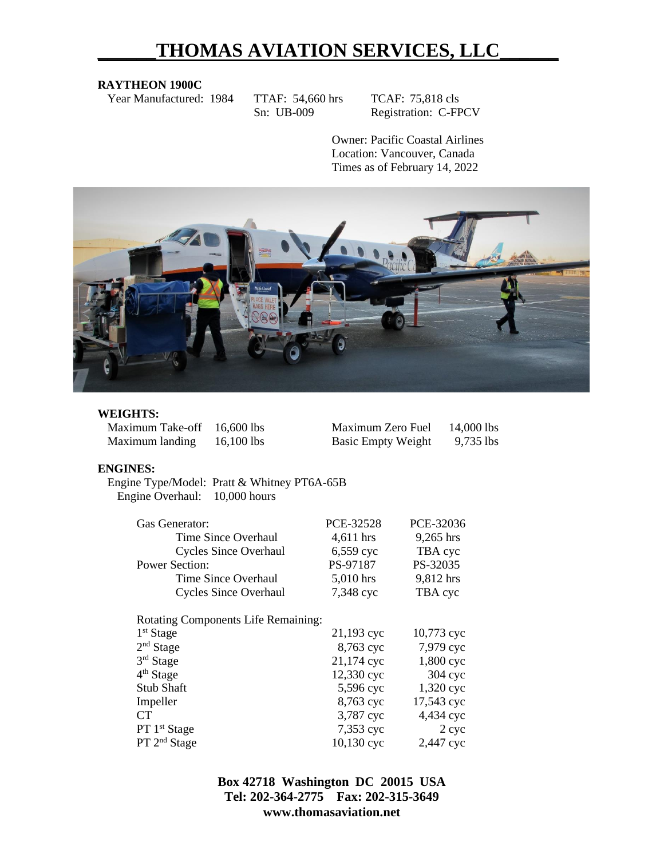# **\_\_\_\_\_\_THOMAS AVIATION SERVICES, LLC\_\_\_\_\_\_**

# **RAYTHEON 1900C**

Year Manufactured: 1984 TTAF: 54,660 hrs TCAF: 75,818 cls

Sn: UB-009 Registration: C-FPCV

Owner: Pacific Coastal Airlines Location: Vancouver, Canada Times as of February 14, 2022



# **WEIGHTS:**

Maximum Take-off 16,600 lbs Maximum landing  $16,100$  lbs

| Maximum Zero Fuel         | 14,000 lbs  |
|---------------------------|-------------|
| <b>Basic Empty Weight</b> | $9,735$ lbs |

# **ENGINES:**

Engine Type/Model: Pratt & Whitney PT6A-65B Engine Overhaul: 10,000 hours

| Gas Generator:                             | PCE-32528  | PCE-32036  |
|--------------------------------------------|------------|------------|
| Time Since Overhaul                        | 4,611 hrs  | 9,265 hrs  |
| <b>Cycles Since Overhaul</b>               | 6,559 cyc  | TBA cyc    |
| <b>Power Section:</b>                      | PS-97187   | PS-32035   |
| Time Since Overhaul                        | 5,010 hrs  | 9,812 hrs  |
| <b>Cycles Since Overhaul</b>               | 7,348 cyc  | TBA cyc    |
| <b>Rotating Components Life Remaining:</b> |            |            |
| 1 <sup>st</sup> Stage                      | 21,193 cyc | 10,773 cyc |
| $2nd$ Stage                                | 8,763 cyc  | 7,979 сус  |
| $3rd$ Stage                                | 21,174 cyc | 1,800 cyc  |
| $4th$ Stage                                | 12,330 cyc | 304 cyc    |
| <b>Stub Shaft</b>                          | 5,596 cyc  | 1,320 cyc  |
| Impeller                                   | 8,763 cyc  | 17,543 cyc |
| <b>CT</b>                                  | 3,787 cyc  | 4,434 cyc  |
| PT 1 <sup>st</sup> Stage                   | 7,353 cyc  | 2 cyc      |
| PT 2 <sup>nd</sup> Stage                   | 10,130 cyc | 2,447 cyc  |

**Box 42718 Washington DC 20015 USA Tel: 202-364-2775 Fax: 202-315-3649 www.thomasaviation.net**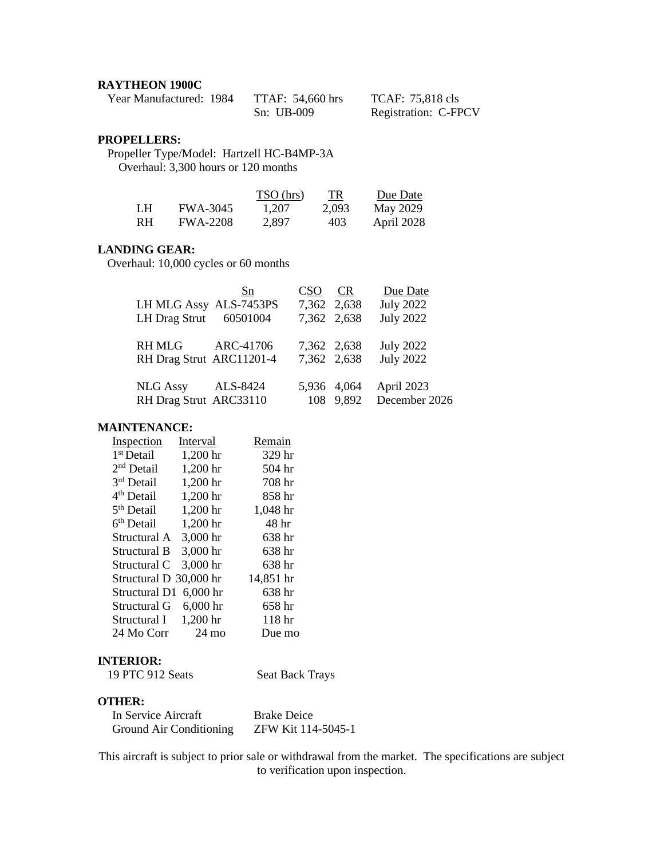# **RAYTHEON 1900C**

| Year Manufactured: 1984 | <b>TTAF: 54,660 hrs</b> | TCAF: 75,818 cls     |
|-------------------------|-------------------------|----------------------|
|                         | $Sn: UB-009$            | Registration: C-FPCV |

# **PROPELLERS:**

Propeller Type/Model: Hartzell HC-B4MP-3A Overhaul: 3,300 hours or 120 months

|           |                 | TSO (hrs) | TR.   | Due Date   |
|-----------|-----------------|-----------|-------|------------|
| LH.       | <b>FWA-3045</b> | 1.207     | 2.093 | May 2029   |
| <b>RH</b> | <b>FWA-2208</b> | 2.897     | 403   | April 2028 |

#### **LANDING GEAR:**

Overhaul: 10,000 cycles or 60 months

|                          | Sn        | <b>CSO</b>  | CR          | Due Date         |
|--------------------------|-----------|-------------|-------------|------------------|
| LH MLG Assy ALS-7453PS   |           |             | 7,362 2,638 | <b>July 2022</b> |
| LH Drag Strut 60501004   |           |             | 7,362 2,638 | <b>July 2022</b> |
| RH MLG                   | ARC-41706 | 7,362 2,638 |             | <b>July 2022</b> |
| RH Drag Strut ARC11201-4 |           |             | 7,362 2,638 | <b>July 2022</b> |
| NLG Assy ALS-8424        |           |             | 5,936 4,064 | April 2023       |
| RH Drag Strut ARC33110   |           |             | 108 9,892   | December 2026    |

#### **MAINTENANCE:**

| Inspection             | Interval        | Remain    |
|------------------------|-----------------|-----------|
| 1 <sup>st</sup> Detail | 1,200 hr        | 329 hr    |
| 2 <sup>nd</sup> Detail | 1,200 hr        | 504 hr    |
| 3rd Detail             | 1,200 hr        | 708 hr    |
| 4 <sup>th</sup> Detail | 1,200 hr        | 858 hr    |
| 5 <sup>th</sup> Detail | 1,200 hr        | 1,048 hr  |
| 6 <sup>th</sup> Detail | 1,200 hr        | 48 hr     |
| Structural A           | 3,000 hr        | 638 hr    |
| Structural B           | 3,000 hr        | 638 hr    |
| Structural C           | 3,000 hr        | 638 hr    |
| Structural D 30,000 hr |                 | 14,851 hr |
| Structural D1          | $6,000$ hr      | 638 hr    |
| Structural G           | $6,000$ hr      | 658 hr    |
| Structural I           | 1,200 hr        | 118 hr    |
| 24 Mo Corr             | $24 \text{ mo}$ | Due mo    |

#### **INTERIOR:**

19 PTC 912 Seats Seat Back Trays

# **OTHER:**

| In Service Aircraft            | <b>Brake Deice</b> |
|--------------------------------|--------------------|
| <b>Ground Air Conditioning</b> | ZFW Kit 114-5045-1 |

This aircraft is subject to prior sale or withdrawal from the market. The specifications are subject to verification upon inspection.